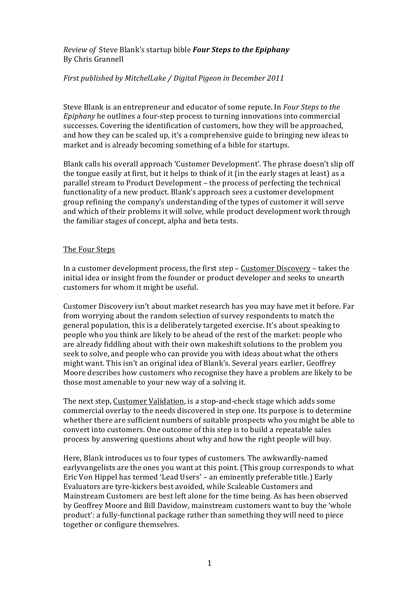*Review of Steve Blank's startup bible Four Steps to the Epiphany* By!Chris!Grannell

## *First published by MitchelLake / Digital Pigeon in December 2011*

Steve Blank is an entrepreneur and educator of some repute. In *Four Steps to the Epiphany* he outlines a four-step process to turning innovations into commercial successes. Covering the identification of customers, how they will be approached, and how they can be scaled up, it's a comprehensive guide to bringing new ideas to market and is already becoming something of a bible for startups.

Blank calls his overall approach 'Customer Development'. The phrase doesn't slip off the tongue easily at first, but it helps to think of it (in the early stages at least) as a parallel stream to Product Development – the process of perfecting the technical functionality of a new product. Blank's approach sees a customer development group refining the company's understanding of the types of customer it will serve and which of their problems it will solve, while product development work through the familiar stages of concept, alpha and beta tests.

## The Four Steps

In a customer development process, the first step – Customer Discovery – takes the initial idea or insight from the founder or product developer and seeks to unearth customers for whom it might be useful.

Customer Discovery isn't about market research has you may have met it before. Far from worrying about the random selection of survey respondents to match the general population, this is a deliberately targeted exercise. It's about speaking to people who you think are likely to be ahead of the rest of the market: people who are already fiddling about with their own makeshift solutions to the problem you seek to solve, and people who can provide you with ideas about what the others might want. This isn't an original idea of Blank's. Several years earlier, Geoffrey Moore describes how customers who recognise they have a problem are likely to be those most amenable to your new way of a solving it.

The next step, Customer Validation, is a stop-and-check stage which adds some commercial overlay to the needs discovered in step one. Its purpose is to determine whether there are sufficient numbers of suitable prospects who you might be able to convert into customers. One outcome of this step is to build a repeatable sales process by answering questions about why and how the right people will buy.

Here, Blank introduces us to four types of customers. The awkwardly-named earlyvangelists are the ones you want at this point. (This group corresponds to what Eric Von Hippel has termed 'Lead Users' – an eminently preferable title.) Early Evaluators are tyre-kickers best avoided, while Scaleable Customers and Mainstream Customers are best left alone for the time being. As has been observed by Geoffrey Moore and Bill Davidow, mainstream customers want to buy the 'whole product': a fully-functional package rather than something they will need to piece together or configure themselves.